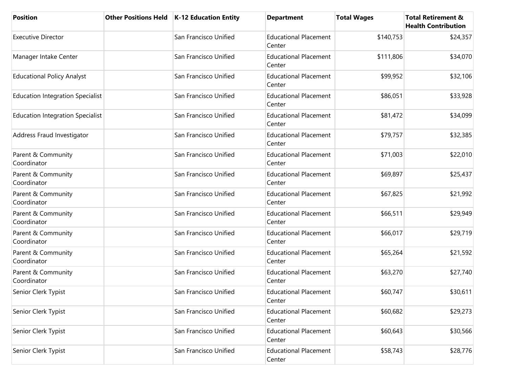| <b>Position</b>                         | Other Positions Held   K-12 Education Entity | <b>Department</b>                      | <b>Total Wages</b> | <b>Total Retirement &amp;</b><br><b>Health Contribution</b> |
|-----------------------------------------|----------------------------------------------|----------------------------------------|--------------------|-------------------------------------------------------------|
| <b>Executive Director</b>               | San Francisco Unified                        | <b>Educational Placement</b><br>Center | \$140,753          | \$24,357                                                    |
| Manager Intake Center                   | San Francisco Unified                        | <b>Educational Placement</b><br>Center | \$111,806          | \$34,070                                                    |
| <b>Educational Policy Analyst</b>       | San Francisco Unified                        | <b>Educational Placement</b><br>Center | \$99,952           | \$32,106                                                    |
| <b>Education Integration Specialist</b> | San Francisco Unified                        | <b>Educational Placement</b><br>Center | \$86,051           | \$33,928                                                    |
| <b>Education Integration Specialist</b> | San Francisco Unified                        | <b>Educational Placement</b><br>Center | \$81,472           | \$34,099                                                    |
| Address Fraud Investigator              | San Francisco Unified                        | <b>Educational Placement</b><br>Center | \$79,757           | \$32,385                                                    |
| Parent & Community<br>Coordinator       | San Francisco Unified                        | <b>Educational Placement</b><br>Center | \$71,003           | \$22,010                                                    |
| Parent & Community<br>Coordinator       | San Francisco Unified                        | <b>Educational Placement</b><br>Center | \$69,897           | \$25,437                                                    |
| Parent & Community<br>Coordinator       | San Francisco Unified                        | <b>Educational Placement</b><br>Center | \$67,825           | \$21,992                                                    |
| Parent & Community<br>Coordinator       | San Francisco Unified                        | <b>Educational Placement</b><br>Center | \$66,511           | \$29,949                                                    |
| Parent & Community<br>Coordinator       | San Francisco Unified                        | <b>Educational Placement</b><br>Center | \$66,017           | \$29,719                                                    |
| Parent & Community<br>Coordinator       | San Francisco Unified                        | <b>Educational Placement</b><br>Center | \$65,264           | \$21,592                                                    |
| Parent & Community<br>Coordinator       | San Francisco Unified                        | <b>Educational Placement</b><br>Center | \$63,270           | \$27,740                                                    |
| Senior Clerk Typist                     | San Francisco Unified                        | <b>Educational Placement</b><br>Center | \$60,747           | \$30,611                                                    |
| Senior Clerk Typist                     | San Francisco Unified                        | <b>Educational Placement</b><br>Center | \$60,682           | \$29,273                                                    |
| Senior Clerk Typist                     | San Francisco Unified                        | <b>Educational Placement</b><br>Center | \$60,643           | \$30,566                                                    |
| Senior Clerk Typist                     | San Francisco Unified                        | <b>Educational Placement</b><br>Center | \$58,743           | \$28,776                                                    |